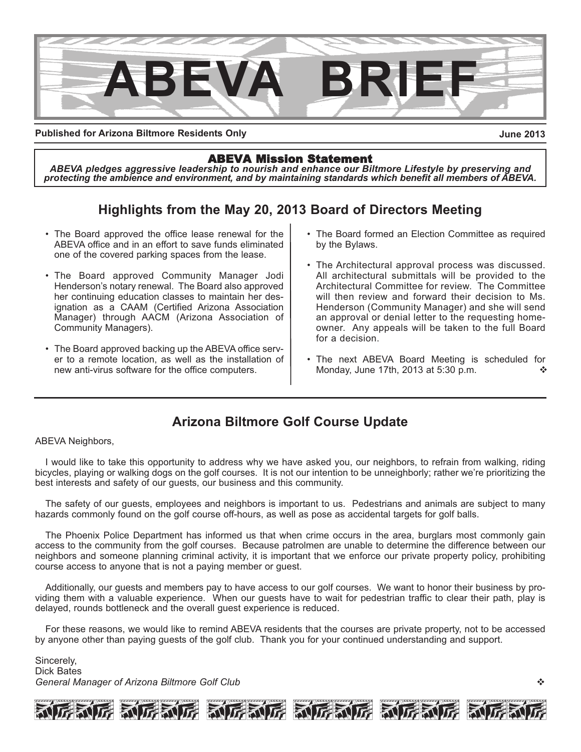

**Published for Arizona Biltmore Residents Only**

**June 2013**

#### ABEVA Mission Statement

*ABEVA pledges aggressive leadership to nourish and enhance our Biltmore Lifestyle by preserving and protecting the ambience and environment, and by maintaining standards which benefit all members of ABEVA.*

# **Highlights from the May 20, 2013 Board of Directors Meeting**

- The Board approved the office lease renewal for the ABEVA office and in an effort to save funds eliminated one of the covered parking spaces from the lease.
- The Board approved Community Manager Jodi Henderson's notary renewal. The Board also approved her continuing education classes to maintain her designation as a CAAM (Certified Arizona Association Manager) through AACM (Arizona Association of Community Managers).
- The Board approved backing up the ABEVA office server to a remote location, as well as the installation of new anti-virus software for the office computers.
- The Board formed an Election Committee as required by the Bylaws.
- The Architectural approval process was discussed. All architectural submittals will be provided to the Architectural Committee for review. The Committee will then review and forward their decision to Ms. Henderson (Community Manager) and she will send an approval or denial letter to the requesting homeowner. Any appeals will be taken to the full Board for a decision.
- The next ABEVA Board Meeting is scheduled for Monday, June 17th, 2013 at 5:30 p.m.  $\diamond$

# **Arizona Biltmore Golf Course Update**

#### ABEVA Neighbors,

I would like to take this opportunity to address why we have asked you, our neighbors, to refrain from walking, riding bicycles, playing or walking dogs on the golf courses. It is not our intention to be unneighborly; rather we're prioritizing the best interests and safety of our guests, our business and this community.

The safety of our guests, employees and neighbors is important to us. Pedestrians and animals are subject to many hazards commonly found on the golf course off-hours, as well as pose as accidental targets for golf balls.

The Phoenix Police Department has informed us that when crime occurs in the area, burglars most commonly gain access to the community from the golf courses. Because patrolmen are unable to determine the difference between our neighbors and someone planning criminal activity, it is important that we enforce our private property policy, prohibiting course access to anyone that is not a paying member or guest.

Additionally, our guests and members pay to have access to our golf courses. We want to honor their business by providing them with a valuable experience. When our guests have to wait for pedestrian traffic to clear their path, play is delayed, rounds bottleneck and the overall guest experience is reduced.

For these reasons, we would like to remind ABEVA residents that the courses are private property, not to be accessed by anyone other than paying guests of the golf club. Thank you for your continued understanding and support.

Sincerely, Dick Bates *General Manager of Arizona Biltmore Golf Club* <sup>v</sup>



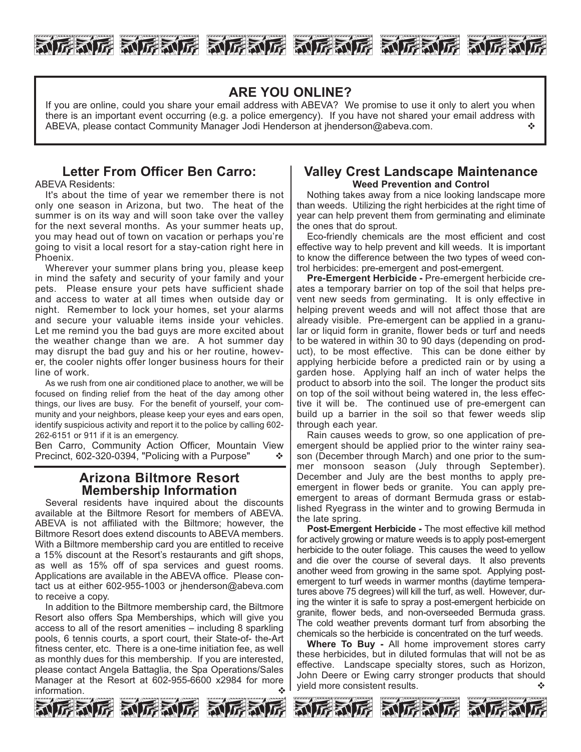

## **ARE YOU ONLINE?**

If you are online, could you share your email address with ABEVA? We promise to use it only to alert you when there is an important event occurring (e.g. a police emergency). If you have not shared your email address with ABEVA, please contact Community Manager Jodi Henderson at jhenderson@abeva.com.

## **Letter From Officer Ben Carro:**

ABEVA Residents:

It's about the time of year we remember there is not only one season in Arizona, but two. The heat of the summer is on its way and will soon take over the valley for the next several months. As your summer heats up, you may head out of town on vacation or perhaps you're going to visit a local resort for a stay-cation right here in Phoenix.

Wherever your summer plans bring you, please keep in mind the safety and security of your family and your pets. Please ensure your pets have sufficient shade and access to water at all times when outside day or night. Remember to lock your homes, set your alarms and secure your valuable items inside your vehicles. Let me remind you the bad guys are more excited about the weather change than we are. A hot summer day may disrupt the bad guy and his or her routine, however, the cooler nights offer longer business hours for their line of work.

As we rush from one air conditioned place to another, we will be focused on finding relief from the heat of the day among other things, our lives are busy. For the benefit of yourself, your community and your neighbors, please keep your eyes and ears open, identify suspicious activity and report it to the police by calling 602- 262-6151 or 911 if it is an emergency.

Ben Carro, Community Action Officer, Mountain View Precinct, 602-320-0394, "Policing with a Purpose"  $\cdot \cdot \cdot$ 

#### **Arizona Biltmore Resort Membership Information**

Several residents have inquired about the discounts available at the Biltmore Resort for members of ABEVA. ABEVA is not affiliated with the Biltmore; however, the Biltmore Resort does extend discounts to ABEVA members. With a Biltmore membership card you are entitled to receive a 15% discount at the Resort's restaurants and gift shops, as well as 15% off of spa services and guest rooms. Applications are available in the ABEVA office. Please contact us at either 602-955-1003 or jhenderson@abeva.com to receive a copy.

In addition to the Biltmore membership card, the Biltmore Resort also offers Spa Memberships, which will give you access to all of the resort amenities – including 8 sparkling pools, 6 tennis courts, a sport court, their State-of- the-Art fitness center, etc. There is a one-time initiation fee, as well as monthly dues for this membership. If you are interested, please contact Angela Battaglia, the Spa Operations/Sales Manager at the Resort at 602-955-6600 x2984 for more information.



#### **Valley Crest Landscape Maintenance Weed Prevention and Control**

Nothing takes away from a nice looking landscape more than weeds. Utilizing the right herbicides at the right time of year can help prevent them from germinating and eliminate the ones that do sprout.

Eco-friendly chemicals are the most efficient and cost effective way to help prevent and kill weeds. It is important to know the difference between the two types of weed control herbicides: pre-emergent and post-emergent.

**Pre-Emergent Herbicide -** Pre-emergent herbicide creates a temporary barrier on top of the soil that helps prevent new seeds from germinating. It is only effective in helping prevent weeds and will not affect those that are already visible. Pre-emergent can be applied in a granular or liquid form in granite, flower beds or turf and needs to be watered in within 30 to 90 days (depending on product), to be most effective. This can be done either by applying herbicide before a predicted rain or by using a garden hose. Applying half an inch of water helps the product to absorb into the soil. The longer the product sits on top of the soil without being watered in, the less effective it will be. The continued use of pre-emergent can build up a barrier in the soil so that fewer weeds slip through each year.

Rain causes weeds to grow, so one application of preemergent should be applied prior to the winter rainy season (December through March) and one prior to the summer monsoon season (July through September). December and July are the best months to apply preemergent in flower beds or granite. You can apply preemergent to areas of dormant Bermuda grass or established Ryegrass in the winter and to growing Bermuda in the late spring.

**Post-Emergent Herbicide -** The most effective kill method for actively growing or mature weeds is to apply post-emergent herbicide to the outer foliage. This causes the weed to yellow and die over the course of several days. It also prevents another weed from growing in the same spot. Applying postemergent to turf weeds in warmer months (daytime temperatures above 75 degrees) will kill the turf, as well. However, during the winter it is safe to spray a post-emergent herbicide on granite, flower beds, and non-overseeded Bermuda grass. The cold weather prevents dormant turf from absorbing the chemicals so the herbicide is concentrated on the turf weeds.

**Where To Buy -** All home improvement stores carry these herbicides, but in diluted formulas that will not be as effective. Landscape specialty stores, such as Horizon, John Deere or Ewing carry stronger products that should vield more consistent results.  $\cdot$ 



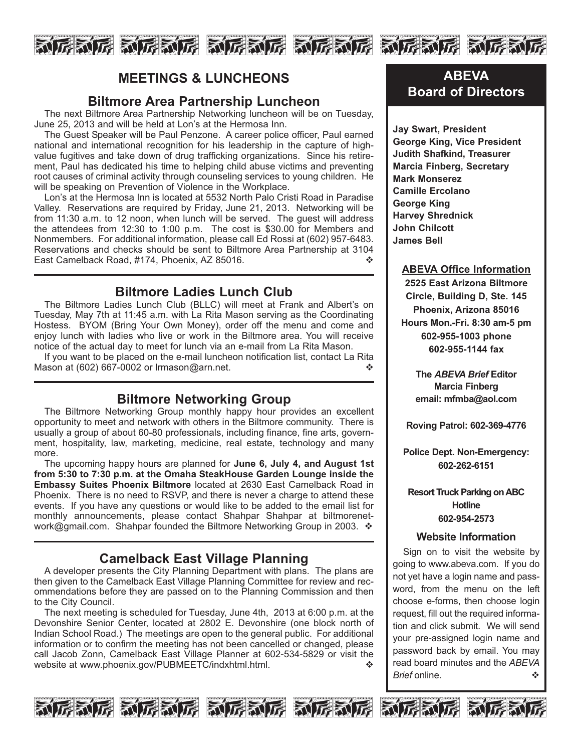

## **MEETINGS & LUNCHEONS**

### **Biltmore Area Partnership Luncheon**

The next Biltmore Area Partnership Networking luncheon will be on Tuesday, June 25, 2013 and will be held at Lon's at the Hermosa Inn.

The Guest Speaker will be Paul Penzone. A career police officer, Paul earned national and international recognition for his leadership in the capture of highvalue fugitives and take down of drug trafficking organizations. Since his retirement, Paul has dedicated his time to helping child abuse victims and preventing root causes of criminal activity through counseling services to young children. He will be speaking on Prevention of Violence in the Workplace.

Lon's at the Hermosa Inn is located at 5532 North Palo Cristi Road in Paradise Valley. Reservations are required by Friday, June 21, 2013. Networking will be from 11:30 a.m. to 12 noon, when lunch will be served. The guest will address the attendees from 12:30 to 1:00 p.m. The cost is \$30.00 for Members and Nonmembers. For additional information, please call Ed Rossi at (602) 957-6483. Reservations and checks should be sent to Biltmore Area Partnership at 3104 East Camelback Road, #174, Phoenix, AZ 85016. v

## **Biltmore Ladies Lunch Club**

The Biltmore Ladies Lunch Club (BLLC) will meet at Frank and Albert's on Tuesday, May 7th at 11:45 a.m. with La Rita Mason serving as the Coordinating Hostess. BYOM (Bring Your Own Money), order off the menu and come and enjoy lunch with ladies who live or work in the Biltmore area. You will receive notice of the actual day to meet for lunch via an e-mail from La Rita Mason.

If you want to be placed on the e-mail luncheon notification list, contact La Rita Mason at (602) 667-0002 or lrmason@arn.net.  $\cdot$ 

## **Biltmore Networking Group**

The Biltmore Networking Group monthly happy hour provides an excellent opportunity to meet and network with others in the Biltmore community. There is usually a group of about 60-80 professionals, including finance, fine arts, government, hospitality, law, marketing, medicine, real estate, technology and many more.

The upcoming happy hours are planned for **June 6, July 4, and August 1st from 5:30 to 7:30 p.m. at the Omaha SteakHouse Garden Lounge inside the Embassy Suites Phoenix Biltmore** located at 2630 East Camelback Road in Phoenix. There is no need to RSVP, and there is never a charge to attend these events. If you have any questions or would like to be added to the email list for monthly announcements, please contact Shahpar Shahpar at biltmorenetwork@gmail.com. Shahpar founded the Biltmore Networking Group in 2003.  $\div$ 

# **Camelback East Village Planning**

A developer presents the City Planning Department with plans. The plans are then given to the Camelback East Village Planning Committee for review and recommendations before they are passed on to the Planning Commission and then to the City Council.

The next meeting is scheduled for Tuesday, June 4th, 2013 at 6:00 p.m. at the Devonshire Senior Center, located at 2802 E. Devonshire (one block north of Indian School Road.) The meetings are open to the general public. For additional information or to confirm the meeting has not been cancelled or changed, please call Jacob Zonn, Camelback East Village Planner at 602-534-5829 or visit the website at www.phoenix.gov/PUBMEETC/indxhtml.html.







# **ABEVA Board of Directors**

**Jay Swart, President George King, Vice President Judith Shafkind, Treasurer Marcia Finberg, Secretary Mark Monserez Camille Ercolano George King Harvey Shrednick John Chilcott James Bell**

#### **ABEVA Office Information**

**2525 East Arizona Biltmore Circle, Building D, Ste. 145 Phoenix, Arizona 85016 Hours Mon.-Fri. 8:30 am-5 pm 602-955-1003 phone 602-955-1144 fax**

> **The** *ABEVA Brief* **Editor Marcia Finberg email: mfmba@aol.com**

**Roving Patrol: 602-369-4776**

**Police Dept. Non-Emergency: 602-262-6151**

**Resort Truck Parking on ABC Hotline 602-954-2573**

#### **Website Information**

Sign on to visit the website by going to www.abeva.com. If you do not yet have a login name and password, from the menu on the left choose e-forms, then choose login request, fill out the required information and click submit. We will send your pre-assigned login name and password back by email. You may read board minutes and the *ABEVA Brief* online.